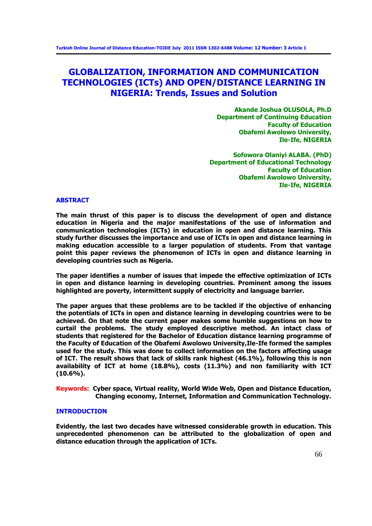# **GLOBALIZATION, INFORMATION AND COMMUNICATION TECHNOLOGIES (ICTs) AND OPEN/DISTANCE LEARNING IN NIGERIA: Trends, Issues and Solution**

**Akande Joshua OLUSOLA, Ph.D Department of Continuing Education Faculty of Education Obafemi Awolowo University, Ile-Ife, NIGERIA**

**Sofowora Olaniyi ALABA. (PhD) Department of Educational Technology Faculty of Education Obafemi Awolowo University, Ile-Ife, NIGERIA**

# **ABSTRACT**

**The main thrust of this paper is to discuss the development of open and distance education in Nigeria and the major manifestations of the use of information and communication technologies (ICTs) in education in open and distance learning. This study further discusses the importance and use of ICTs in open and distance learning in making education accessible to a larger population of students. From that vantage point this paper reviews the phenomenon of ICTs in open and distance learning in developing countries such as Nigeria.** 

**The paper identifies a number of issues that impede the effective optimization of ICTs in open and distance learning in developing countries. Prominent among the issues highlighted are poverty, intermittent supply of electricity and language barrier.** 

**The paper argues that these problems are to be tackled if the objective of enhancing the potentials of ICTs in open and distance learning in developing countries were to be achieved. On that note the current paper makes some humble suggestions on how to curtail the problems. The study employed descriptive method. An intact class of students that registered for the Bachelor of Education distance learning programme of the Faculty of Education of the Obafemi Awolowo University,Ile-Ife formed the samples used for the study. This was done to collect information on the factors affecting usage of ICT. The result shows that lack of skills rank highest (46.1%), following this is non availability of ICT at home (18.8%), costs (11.3%) and non familiarity with ICT (10.6%).**

**Keywords: Cyber space, Virtual reality, World Wide Web, Open and Distance Education, Changing economy, Internet, Information and Communication Technology.**

# **INTRODUCTION**

**Evidently, the last two decades have witnessed considerable growth in education. This unprecedented phenomenon can be attributed to the globalization of open and distance education through the application of ICTs.**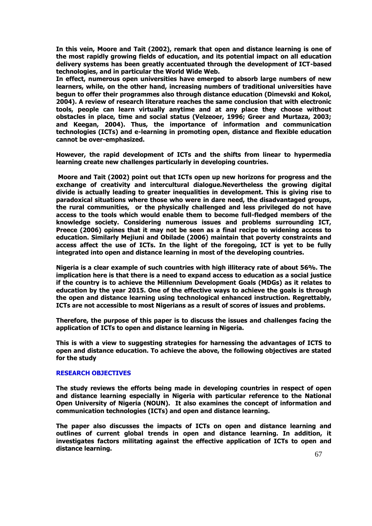**In this vein, Moore and Tait (2002), remark that open and distance learning is one of the most rapidly growing fields of education, and its potential impact on all education delivery systems has been greatly accentuated through the development of ICT-based technologies, and in particular the World Wide Web.** 

**In effect, numerous open universities have emerged to absorb large numbers of new learners, while, on the other hand, increasing numbers of traditional universities have begun to offer their programmes also through distance education (Dimevski and Kokol, 2004). A review of research literature reaches the same conclusion that with electronic tools, people can learn virtually anytime and at any place they choose without obstacles in place, time and social status (Velzeoer, 1996; Greer and Murtaza, 2003; and Keegan, 2004). Thus, the importance of information and communication technologies (ICTs) and e-learning in promoting open, distance and flexible education cannot be over-emphasized.**

**However, the rapid development of ICTs and the shifts from linear to hypermedia learning create new challenges particularly in developing countries.**

**Moore and Tait (2002) point out that ICTs open up new horizons for progress and the exchange of creativity and intercultural dialogue.Nevertheless the growing digital divide is actually leading to greater inequalities in development. This is giving rise to paradoxical situations where those who were in dare need, the disadvantaged groups, the rural communities, or the physically challenged and less privileged do not have access to the tools which would enable them to become full-fledged members of the knowledge society. Considering numerous issues and problems surrounding ICT, Preece (2006) opines that it may not be seen as a final recipe to widening access to education. Similarly Mejiuni and Obilade (2006) maintain that poverty constraints and access affect the use of ICTs. In the light of the foregoing, ICT is yet to be fully integrated into open and distance learning in most of the developing countries.**

**Nigeria is a clear example of such countries with high illiteracy rate of about 56%. The implication here is that there is a need to expand access to education as a social justice if the country is to achieve the Millennium Development Goals (MDGs) as it relates to education by the year 2015. One of the effective ways to achieve the goals is through the open and distance learning using technological enhanced instruction. Regrettably, ICTs are not accessible to most Nigerians as a result of scores of issues and problems.**

**Therefore, the purpose of this paper is to discuss the issues and challenges facing the application of ICTs to open and distance learning in Nigeria.** 

**This is with a view to suggesting strategies for harnessing the advantages of ICTS to open and distance education. To achieve the above, the following objectives are stated for the study**

## **RESEARCH OBJECTIVES**

**The study reviews the efforts being made in developing countries in respect of open and distance learning especially in Nigeria with particular reference to the National Open University of Nigeria (NOUN). It also examines the concept of information and communication technologies (ICTs) and open and distance learning.** 

**The paper also discusses the impacts of ICTs on open and distance learning and outlines of current global trends in open and distance learning. In addition, it investigates factors militating against the effective application of ICTs to open and distance learning.**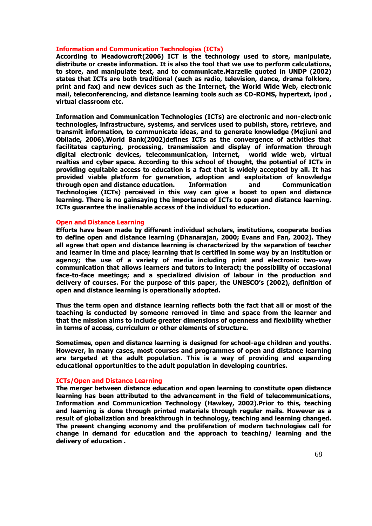### **Information and Communication Technologies (ICTs)**

**According to Meadowcroft(2006) ICT is the technology used to store, manipulate, distribute or create information. It is also the tool that we use to perform calculations, to store, and manipulate text, and to communicate.Marzelle quoted in UNDP (2002) states that ICTs are both traditional (such as radio, television, dance, drama folklore, print and fax) and new devices such as the Internet, the World Wide Web, electronic mail, teleconferencing, and distance learning tools such as CD-ROMS, hypertext, ipod , virtual classroom etc.**

**Information and Communication Technologies (ICTs) are electronic and non-electronic technologies, infrastructure, systems, and services used to publish, store, retrieve, and transmit information, to communicate ideas, and to generate knowledge (Mejiuni and Obilade, 2006).World Bank(2002)defines ICTs as the convergence of activities that facilitates capturing, processing, transmission and display of information through digital electronic devices, telecommunication, internet, world wide web, virtual realties and cyber space. According to this school of thought, the potential of ICTs in providing equitable access to education is a fact that is widely accepted by all. It has provided viable platform for generation, adoption and exploitation of knowledge through open and distance education. Information and Communication Technologies (ICTs) perceived in this way can give a boost to open and distance learning. There is no gainsaying the importance of ICTs to open and distance learning. ICTs guarantee the inalienable access of the individual to education.**

### **Open and Distance Learning**

**Efforts have been made by different individual scholars, institutions, cooperate bodies to define open and distance learning (Dhanarajan, 2000; Evans and Fan, 2002). They all agree that open and distance learning is characterized by the separation of teacher and learner in time and place; learning that is certified in some way by an institution or agency; the use of a variety of media including print and electronic two-way communication that allows learners and tutors to interact; the possibility of occasional face-to-face meetings; and a specialized division of labour in the production and delivery of courses. For the purpose of this paper, the UNESCO's (2002), definition of open and distance learning is operationally adopted.** 

**Thus the term open and distance learning reflects both the fact that all or most of the teaching is conducted by someone removed in time and space from the learner and that the mission aims to include greater dimensions of openness and flexibility whether in terms of access, curriculum or other elements of structure.** 

**Sometimes, open and distance learning is designed for school-age children and youths. However, in many cases, most courses and programmes of open and distance learning are targeted at the adult population. This is a way of providing and expanding educational opportunities to the adult population in developing countries.**

#### **ICTs/Open and Distance Learning**

**The merger between distance education and open learning to constitute open distance learning has been attributed to the advancement in the field of telecommunications, Information and Communication Technology (Hawkey, 2002).Prior to this, teaching and learning is done through printed materials through regular mails. However as a result of globalization and breakthrough in technology, teaching and learning changed. The present changing economy and the proliferation of modern technologies call for change in demand for education and the approach to teaching/ learning and the delivery of education .**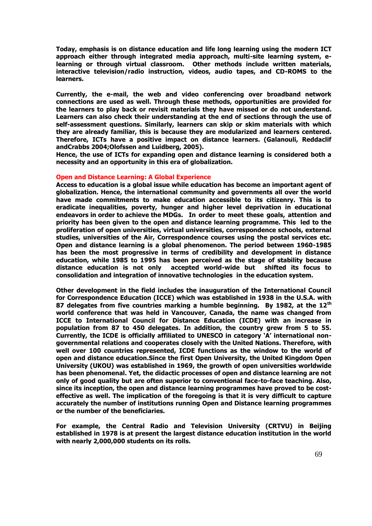**Today, emphasis is on distance education and life long learning using the modern ICT approach either through integrated media approach, multi-site learning system, elearning or through virtual classroom. Other methods include written materials, interactive television/radio instruction, videos, audio tapes, and CD-ROMS to the learners.** 

**Currently, the e-mail, the web and video conferencing over broadband network connections are used as well. Through these methods, opportunities are provided for the learners to play back or revisit materials they have missed or do not understand. Learners can also check their understanding at the end of sections through the use of self-assessment questions. Similarly, learners can skip or skim materials with which they are already familiar, this is because they are modularized and learners centered. Therefore, ICTs have a positive impact on distance learners. (Galanouli, Reddaclif andCrabbs 2004;Olofssen and Luidberg, 2005).** 

**Hence, the use of ICTs for expanding open and distance learning is considered both a necessity and an opportunity in this era of globalization.**

## **Open and Distance Learning: A Global Experience**

**Access to education is a global issue while education has become an important agent of globalization. Hence, the international community and governments all over the world have made commitments to make education accessible to its citizenry. This is to eradicate inequalities, poverty, hunger and higher level deprivation in educational endeavors in order to achieve the MDGs. In order to meet these goals, attention and priority has been given to the open and distance learning programme. This led to the proliferation of open universities, virtual universities, correspondence schools, external studies, universities of the Air, Correspondence courses using the postal services etc. Open and distance learning is a global phenomenon. The period between 1960-1985 has been the most progressive in terms of credibility and development in distance education, while 1985 to 1995 has been perceived as the stage of stability because distance education is not only accepted world-wide but shifted its focus to consolidation and integration of innovative technologies in the education system.**

**Other development in the field includes the inauguration of the International Council for Correspondence Education (ICCE) which was established in 1938 in the U.S.A. with 87 delegates from five countries marking a humble beginning. By 1982, at the 12th world conference that was held in Vancouver, Canada, the name was changed from ICCE to International Council for Distance Education (ICDE) with an increase in population from 87 to 450 delegates. In addition, the country grew from 5 to 55.**  Currently, the ICDE is officially affiliated to UNESCO in category `A' international non**governmental relations and cooperates closely with the United Nations. Therefore, with well over 100 countries represented, ICDE functions as the window to the world of open and distance education.Since the first Open University, the United Kingdom Open University (UKOU) was established in 1969, the growth of open universities worldwide has been phenomenal. Yet, the didactic processes of open and distance learning are not only of good quality but are often superior to conventional face-to-face teaching. Also, since its inception, the open and distance learning programmes have proved to be costeffective as well. The implication of the foregoing is that it is very difficult to capture accurately the number of institutions running Open and Distance learning programmes or the number of the beneficiaries.** 

**For example, the Central Radio and Television University (CRTVU) in Beijing established in 1978 is at present the largest distance education institution in the world with nearly 2,000,000 students on its rolls.**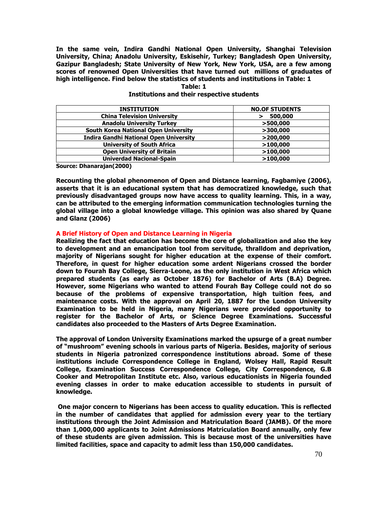**In the same vein, Indira Gandhi National Open University, Shanghai Television University, China; Anadolu University, Eskisehir, Turkey; Bangladesh Open University, Gazipur Bangladesh; State University of New York, New York, USA, are a few among scores of renowned Open Universities that have turned out millions of graduates of high intelligence. Find below the statistics of students and institutions in Table: 1**

# **Table: 1**

| <b>INSTITUTION</b>                            | <b>NO.OF STUDENTS</b> |
|-----------------------------------------------|-----------------------|
| <b>China Television University</b>            | 500,000               |
| <b>Anadolu University Turkey</b>              | >500,000              |
| <b>South Korea National Open University</b>   | >300,000              |
| <b>Indira Gandhi National Open University</b> | $>$ 200,000           |
| <b>University of South Africa</b>             | >100,000              |
| <b>Open University of Britain</b>             | >100,000              |
| <b>Univerdad Nacional-Spain</b>               | >100,000              |

# **Institutions and their respective students**

**Source: Dhanarajan(2000)**

**Recounting the global phenomenon of Open and Distance learning, Fagbamiye (2006), asserts that it is an educational system that has democratized knowledge, such that previously disadvantaged groups now have access to quality learning. This, in a way, can be attributed to the emerging information communication technologies turning the global village into a global knowledge village. This opinion was also shared by Quane and Glanz (2006)**

# **A Brief History of Open and Distance Learning in Nigeria**

**Realizing the fact that education has become the core of globalization and also the key to development and an emancipation tool from servitude, thralldom and deprivation, majority of Nigerians sought for higher education at the expense of their comfort. Therefore, in quest for higher education some ardent Nigerians crossed the border down to Fourah Bay College, Sierra-Leone, as the only institution in West Africa which prepared students (as early as October 1876) for Bachelor of Arts (B.A) Degree. However, some Nigerians who wanted to attend Fourah Bay College could not do so because of the problems of expensive transportation, high tuition fees, and maintenance costs. With the approval on April 20, 1887 for the London University Examination to be held in Nigeria, many Nigerians were provided opportunity to register for the Bachelor of Arts, or Science Degree Examinations. Successful candidates also proceeded to the Masters of Arts Degree Examination.** 

**The approval of London University Examinations marked the upsurge of a great number**  of "mushroom" evening schools in various parts of Nigeria. Besides, majority of serious **students in Nigeria patronized correspondence institutions abroad. Some of these institutions include Correspondence College in England, Wolsey Hall, Rapid Result College, Examination Success Correspondence College, City Correspondence, G.B Cooker and Metropolitan Institute etc. Also, various educationists in Nigeria founded evening classes in order to make education accessible to students in pursuit of knowledge.** 

**One major concern to Nigerians has been access to quality education. This is reflected in the number of candidates that applied for admission every year to the tertiary institutions through the Joint Admission and Matriculation Board (JAMB). Of the more than 1,000,000 applicants to Joint Admissions Matriculation Board annually, only few of these students are given admission. This is because most of the universities have limited facilities, space and capacity to admit less than 150,000 candidates.**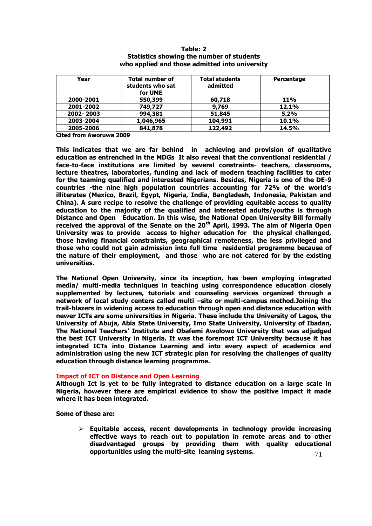| Year      | <b>Total number of</b>      | <b>Total students</b> | Percentage |  |
|-----------|-----------------------------|-----------------------|------------|--|
|           | students who sat<br>for UME | admitted              |            |  |
| 2000-2001 | 550,399                     | 60,718                | <b>11%</b> |  |
| 2001-2002 | 749,727                     | 9,769                 | 12.1%      |  |
| 2002-2003 | 994,381                     | 51,845                | 5.2%       |  |
| 2003-2004 | 1,046,965                   | 104,991               | 10.1%      |  |
| 2005-2006 | 841,878                     | 122,492               | 14.5%      |  |

# **Table: 2 Statistics showing the number of students who applied and those admitted into university**

**Cited from Aworuwa 2009**

**This indicates that we are far behind in achieving and provision of qualitative education as entrenched in the MDGs It also reveal that the conventional residential / face-to-face institutions are limited by several constraints- teachers, classrooms, lecture theatres, laboratories, funding and lack of modern teaching facilities to cater for the teaming qualified and interested Nigerians. Besides, Nigeria is one of the DE-9 countries -the nine high population countries accounting for 72% of the world's illiterates (Mexico, Brazil, Egypt, Nigeria, India, Bangladesh, Indonesia, Pakistan and China). A sure recipe to resolve the challenge of providing equitable access to quality education to the majority of the qualified and interested adults/youths is through Distance and Open Education. In this wise, the National Open University Bill formally received the approval of the Senate on the 20th April, 1993. The aim of Nigeria Open University was to provide access to higher education for the physical challenged, those having financial constraints, geographical remoteness, the less privileged and those who could not gain admission into full time residential programme because of the nature of their employment, and those who are not catered for by the existing universities.**

**The National Open University, since its inception, has been employing integrated media/ multi-media techniques in teaching using correspondence education closely supplemented by lectures, tutorials and counseling services organized through a network of local study centers called multi –site or multi-campus method.Joining the trail-blazers in widening access to education through open and distance education with newer ICTs are some universities in Nigeria. These include the University of Lagos, the University of Abuja, Abia State University, Imo State University, University of Ibadan, The National Teachers' Institute and Obafemi Awolowo University that was adjudged the best ICT University in Nigeria. It was the foremost ICT University because it has integrated ICTs into Distance Learning and into every aspect of academics and administration using the new ICT strategic plan for resolving the challenges of quality education through distance learning programme.**

#### **Impact of ICT on Distance and Open Learning**

**Although Ict is yet to be fully integrated to distance education on a large scale in Nigeria, however there are empirical evidence to show the positive impact it made where it has been integrated.** 

**Some of these are:**

 **Equitable access, recent developments in technology provide increasing effective ways to reach out to population in remote areas and to other disadvantaged groups by providing them with quality educational opportunities using the multi-site learning systems.**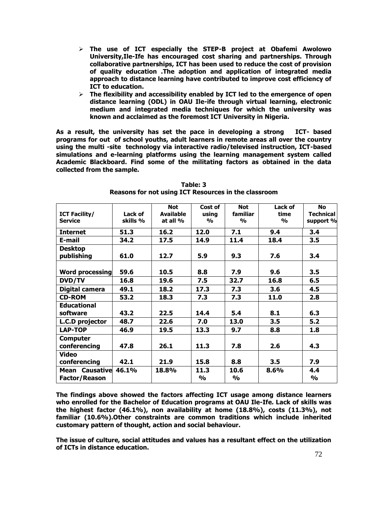- **The use of ICT especially the STEP-B project at Obafemi Awolowo University,Ile-Ife has encouraged cost sharing and partnerships. Through collaborative partnerships, ICT has been used to reduce the cost of provision of quality education .The adoption and application of integrated media approach to distance learning have contributed to improve cost efficiency of ICT to education.**
- **The flexibility and accessibility enabled by ICT led to the emergence of open distance learning (ODL) in OAU Ile-ife through virtual learning, electronic medium and integrated media techniques for which the university was known and acclaimed as the foremost ICT University in Nigeria.**

**As a result, the university has set the pace in developing a strong ICT- based programs for out of school youths, adult learners in remote areas all over the country using the multi -site technology via interactive radio/televised instruction, ICT-based simulations and e-learning platforms using the learning management system called Academic Blackboard. Find some of the militating factors as obtained in the data collected from the sample.**

|                        |          | <b>Not</b>       | Cost of       | <b>Not</b>    | Lack of       | <b>No</b>        |
|------------------------|----------|------------------|---------------|---------------|---------------|------------------|
| <b>ICT Facility/</b>   | Lack of  | <b>Available</b> | using         | familiar      | time          | <b>Technical</b> |
| <b>Service</b>         | skills % | at all %         | $\frac{1}{2}$ | $\frac{1}{2}$ | $\frac{0}{0}$ | support %        |
| <b>Internet</b>        | 51.3     | 16.2             | 12.0          | 7.1           | 9.4           | 3.4              |
| E-mail                 | 34.2     | 17.5             | 14.9          | 11.4          | 18.4          | 3.5              |
| <b>Desktop</b>         |          |                  |               |               |               |                  |
| publishing             | 61.0     | 12.7             | 5.9           | 9.3           | 7.6           | 3.4              |
|                        |          |                  |               |               |               |                  |
| <b>Word processing</b> | 59.6     | 10.5             | 8.8           | 7.9           | 9.6           | 3.5              |
| <b>DVD/TV</b>          | 16.8     | 19.6             | 7.5           | 32.7          | 16.8          | 6.5              |
| Digital camera         | 49.1     | 18.2             | 17.3          | 7.3           | 3.6           | 4.5              |
| <b>CD-ROM</b>          | 53.2     | 18.3             | 7.3           | 7.3           | 11.0          | 2.8              |
| <b>Educational</b>     |          |                  |               |               |               |                  |
| software               | 43.2     | 22.5             | 14.4          | 5.4           | 8.1           | 6.3              |
| L.C.D projector        | 48.7     | 22.6             | 7.0           | 13.0          | 3.5           | 5.2              |
| <b>LAP-TOP</b>         | 46.9     | 19.5             | 13.3          | 9.7           | 8.8           | 1.8              |
| <b>Computer</b>        |          |                  |               |               |               |                  |
| conferencing           | 47.8     | 26.1             | 11.3          | 7.8           | 2.6           | 4.3              |
| <b>Video</b>           |          |                  |               |               |               |                  |
| conferencing           | 42.1     | 21.9             | 15.8          | 8.8           | 3.5           | 7.9              |
| Mean Causative 46.1%   |          | 18.8%            | 11.3          | 10.6          | 8.6%          | 4.4              |
| <b>Factor/Reason</b>   |          |                  | $\frac{0}{0}$ | %             |               | %                |

**Table: 3 Reasons for not using ICT Resources in the classroom**

**The findings above showed the factors affecting ICT usage among distance learners who enrolled for the Bachelor of Education programs at OAU Ile-Ife. Lack of skills was the highest factor (46.1%), non availability at home (18.8%), costs (11.3%), not familiar (10.6%).Other constraints are common traditions which include inherited customary pattern of thought, action and social behaviour.** 

**The issue of culture, social attitudes and values has a resultant effect on the utilization of ICTs in distance education.**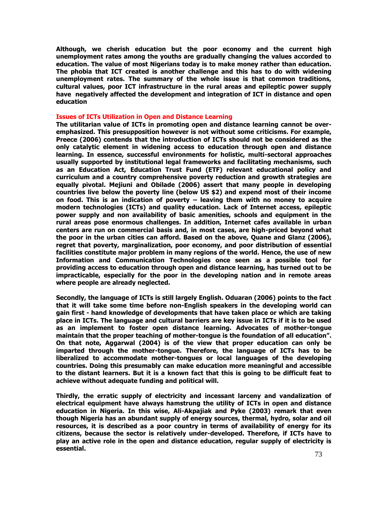**Although, we cherish education but the poor economy and the current high unemployment rates among the youths are gradually changing the values accorded to education. The value of most Nigerians today is to make money rather than education. The phobia that ICT created is another challenge and this has to do with widening unemployment rates. The summary of the whole issue is that common traditions, cultural values, poor ICT infrastructure in the rural areas and epileptic power supply have negatively affected the development and integration of ICT in distance and open education**

### **Issues of ICTs Utilization in Open and Distance Learning**

**The utilitarian value of ICTs in promoting open and distance learning cannot be overemphasized. This presupposition however is not without some criticisms. For example, Preece (2006) contends that the introduction of ICTs should not be considered as the only catalytic element in widening access to education through open and distance learning. In essence, successful environments for holistic, multi-sectoral approaches usually supported by institutional legal frameworks and facilitating mechanisms, such as an Education Act, Education Trust Fund (ETF) relevant educational policy and curriculum and a country comprehensive poverty reduction and growth strategies are equally pivotal. Mejiuni and Obilade (2006) assert that many people in developing countries live below the poverty line (below US \$2) and expend most of their income on food. This is an indication of poverty – leaving them with no money to acquire modern technologies (ICTs) and quality education. Lack of Internet access, epileptic power supply and non availability of basic amenities, schools and equipment in the rural areas pose enormous challenges. In addition, Internet cafes available in urban centers are run on commercial basis and, in most cases, are high-priced beyond what the poor in the urban cities can afford. Based on the above, Quane and Glanz (2006), regret that poverty, marginalization, poor economy, and poor distribution of essential facilities constitute major problem in many regions of the world. Hence, the use of new Information and Communication Technologies once seen as a possible tool for providing access to education through open and distance learning, has turned out to be impracticable, especially for the poor in the developing nation and in remote areas where people are already neglected.**

**Secondly, the language of ICTs is still largely English. Oduaran (2006) points to the fact that it will take some time before non-English speakers in the developing world can gain first - hand knowledge of developments that have taken place or which are taking place in ICTs. The language and cultural barriers are key issue in ICTs if it is to be used as an implement to foster open distance learning. Advocates of mother-tongue**  maintain that the proper teaching of mother-tongue is the foundation of all education". **On that note, Aggarwal (2004) is of the view that proper education can only be imparted through the mother-tongue. Therefore, the language of ICTs has to be liberalized to accommodate mother-tongues or local languages of the developing countries. Doing this presumably can make education more meaningful and accessible to the distant learners. But it is a known fact that this is going to be difficult feat to achieve without adequate funding and political will.**

**Thirdly, the erratic supply of electricity and incessant larceny and vandalization of electrical equipment have always hamstrung the utility of ICTs in open and distance education in Nigeria. In this wise, Ali-Akpajiak and Pyke (2003) remark that even though Nigeria has an abundant supply of energy sources, thermal, hydro, solar and oil resources, it is described as a poor country in terms of availability of energy for its citizens, because the sector is relatively under-developed. Therefore, if ICTs have to play an active role in the open and distance education, regular supply of electricity is essential.**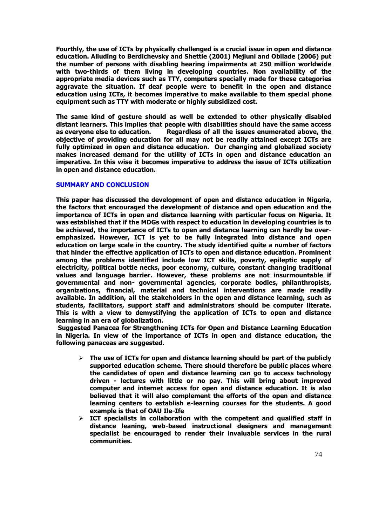**Fourthly, the use of ICTs by physically challenged is a crucial issue in open and distance education. Alluding to Berdichevsky and Shettle (2001) Mejiuni and Obilade (2006) put the number of persons with disabling hearing impairments at 250 million worldwide with two-thirds of them living in developing countries. Non availability of the appropriate media devices such as TTY, computers specially made for these categories aggravate the situation. If deaf people were to benefit in the open and distance education using ICTs, it becomes imperative to make available to them special phone equipment such as TTY with moderate or highly subsidized cost.** 

**The same kind of gesture should as well be extended to other physically disabled distant learners. This implies that people with disabilities should have the same access as everyone else to education. Regardless of all the issues enumerated above, the objective of providing education for all may not be readily attained except ICTs are fully optimized in open and distance education. Our changing and globalized society makes increased demand for the utility of ICTs in open and distance education an imperative. In this wise it becomes imperative to address the issue of ICTs utilization in open and distance education.**

# **SUMMARY AND CONCLUSION**

**This paper has discussed the development of open and distance education in Nigeria, the factors that encouraged the development of distance and open education and the importance of ICTs in open and distance learning with particular focus on Nigeria. It was established that if the MDGs with respect to education in developing countries is to be achieved, the importance of ICTs to open and distance learning can hardly be overemphasized. However, ICT is yet to be fully integrated into distance and open education on large scale in the country. The study identified quite a number of factors that hinder the effective application of ICTs to open and distance education. Prominent among the problems identified include low ICT skills, poverty, epileptic supply of electricity, political bottle necks, poor economy, culture, constant changing traditional values and language barrier. However, these problems are not insurmountable if governmental and non- governmental agencies, corporate bodies, philanthropists, organizations, financial, material and technical interventions are made readily available. In addition, all the stakeholders in the open and distance learning, such as students, facilitators, support staff and administrators should be computer literate. This is with a view to demystifying the application of ICTs to open and distance learning in an era of globalization.** 

**Suggested Panacea for Strengthening ICTs for Open and Distance Learning Education in Nigeria. In view of the importance of ICTs in open and distance education, the following panaceas are suggested.**

- **The use of ICTs for open and distance learning should be part of the publicly supported education scheme. There should therefore be public places where the candidates of open and distance learning can go to access technology driven - lectures with little or no pay. This will bring about improved computer and internet access for open and distance education. It is also believed that it will also complement the efforts of the open and distance learning centers to establish e-learning courses for the students. A good example is that of OAU Ile-Ife**
- $\triangleright$  ICT specialists in collaboration with the competent and qualified staff in **distance leaning, web-based instructional designers and management specialist be encouraged to render their invaluable services in the rural communities.**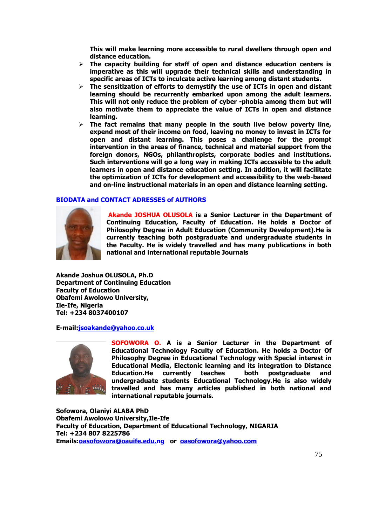**This will make learning more accessible to rural dwellers through open and distance education.**

- **The capacity building for staff of open and distance education centers is imperative as this will upgrade their technical skills and understanding in specific areas of ICTs to inculcate active learning among distant students.**
- **The sensitization of efforts to demystify the use of ICTs in open and distant learning should be recurrently embarked upon among the adult learners. This will not only reduce the problem of cyber -phobia among them but will also motivate them to appreciate the value of ICTs in open and distance learning.**
- **The fact remains that many people in the south live below poverty line, expend most of their income on food, leaving no money to invest in ICTs for open and distant learning. This poses a challenge for the prompt intervention in the areas of finance, technical and material support from the foreign donors, NGOs, philanthropists, corporate bodies and institutions. Such interventions will go a long way in making ICTs accessible to the adult learners in open and distance education setting. In addition, it will facilitate the optimization of ICTs for development and accessibility to the web-based and on-line instructional materials in an open and distance learning setting.**

# **BIODATA and CONTACT ADRESSES of AUTHORS**



**Akande JOSHUA OLUSOLA is a Senior Lecturer in the Department of Continuing Education, Faculty of Education. He holds a Doctor of Philosophy Degree in Adult Education (Community Development).He is currently teaching both postgraduate and undergraduate students in the Faculty. He is widely travelled and has many publications in both national and international reputable Journals**

**Akande Joshua OLUSOLA, Ph.D Department of Continuing Education Faculty of Education Obafemi Awolowo University, Ile-Ife, Nigeria Tel: +234 8037400107** 

**E-mail[:jsoakande@yahoo.co.uk](file:///F:/AppData/Local/Microsoft/Windows/Temporary%20Internet%20Files/Content.IE5/C1QT5IG3/jsoakande@yahoo.co.uk)**



**SOFOWORA O. A is a Senior Lecturer in the Department of Educational Technology Faculty of Education. He holds a Doctor Of Philosophy Degree in Educational Technology with Special interest in Educational Media, Electonic learning and its integration to Distance Education.He currently teaches both postgraduate and undergraduate students Educational Technology.He is also widely travelled and has many articles published in both national and international reputable journals.**

**Sofowora, Olaniyi ALABA PhD Obafemi Awolowo University,Ile-Ife Faculty of Education, Department of Educational Technology, NIGARIA Tel: +234 807 8225786 Emails[:oasofowora@oauife.edu.n](mailto:oasofowora@oauife.edu.)g or [oasofowora@yahoo.com](file:///F:/AppData/Local/Microsoft/Windows/Temporary%20Internet%20Files/Content.IE5/C1QT5IG3/oasofowora@yahoo.co)**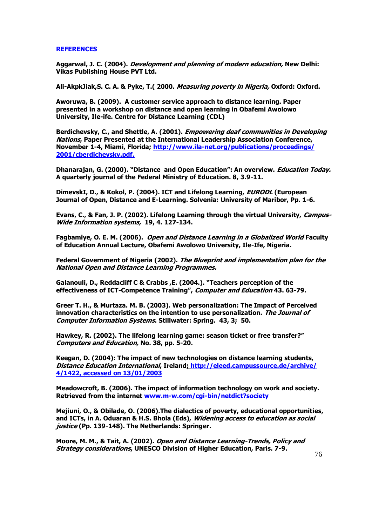## **REFERENCES**

**Aggarwal, J. C. (2004). Development and planning of modern education, New Delhi: Vikas Publishing House PVT Ltd.**

**Ali-AkpkJiak,S. C. A. & Pyke, T.( 2000. Measuring poverty in Nigeria, Oxford: Oxford.**

**Aworuwa, B. (2009). A customer service approach to distance learning. Paper presented in a workshop on distance and open learning in Obafemi Awolowo University, Ile-ife. Centre for Distance Learning (CDL)**

**Berdichevsky, C., and Shettle, A. (2001). Empowering deaf communities in Developing Nations, Paper Presented at the International Leadership Association Conference, November 1-4, Miami, Florida; [http://www.ila-net.org/publications/p](http://www.ila-net.org/publications/)roceedings/ 2001/cberdichevsky.pdf.**

Dhanarajan, G. (2000). "Distance and Open Education": An overview. *Education Today.* **A quarterly journal of the Federal Ministry of Education. 8, 3.9-11.**

**DimevskI, D., & Kokol, P. (2004). ICT and Lifelong Learning, EURODL (European Journal of Open, Distance and E-Learning. Solvenia: University of Maribor, Pp. 1-6.**

**Evans, C., & Fan, J. P. (2002). Lifelong Learning through the virtual University, Campus-Wide Information systems, 19, 4. 127-134.**

**Fagbamiye, O. E. M. (2006). Open and Distance Learning in a Globalized World Faculty of Education Annual Lecture, Obafemi Awolowo University, Ile-Ife, Nigeria.**

**Federal Government of Nigeria (2002). The Blueprint and implementation plan for the National Open and Distance Learning Programmes.**

**Galanouli, D., Reddacliff C & Crabbs ,E. (2004.). ―Teachers perception of the effectiveness of ICT-Competence Training‖, Computer and Education 43. 63-79.**

**Greer T. H., & Murtaza. M. B. (2003). Web personalization: The Impact of Perceived innovation characteristics on the intention to use personalization. The Journal of Computer Information Systems. Stillwater: Spring. 43, 3; 50.**

**Hawkey, R. (2002). The lifelong learning game: season ticket or free transfer?‖ Computers and Education, No. 38, pp. 5-20.**

**Keegan, D. (2004): The impact of new technologies on distance learning students, Distance Education International, Ireland; [http://eleed.campussource.de/archive/](http://eleed.campussource.de/archive/%204/1422,%20accessed)  4/1422, [accessed](http://eleed.campussource.de/archive/%204/1422,%20accessed) on 13/01/2003**

**Meadowcroft, B. (2006). The impact of information technology on work and society. Retrieved from the internet www.m-w.com/cgi-bin/netdict?society**

**Mejiuni, O., & Obilade, O. (2006).The dialectics of poverty, educational opportunities, and ICTs, in A. Oduaran & H.S. Bhola (Eds), Widening access to education as social justice (Pp. 139-148). The Netherlands: Springer.**

**Moore, M. M., & Tait, A. (2002). Open and Distance Learning-Trends, Policy and Strategy considerations, UNESCO Division of Higher Education, Paris. 7-9.**